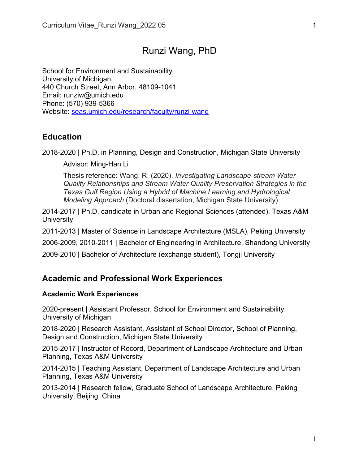# Runzi Wang, PhD

School for Environment and Sustainability University of Michigan, 440 Church Street, Ann Arbor, 48109-1041 Email: runziw@umich.edu Phone: (570) 939-5366 Website: seas.umich.edu/research/faculty/runzi-wang

## **Education**

2018-2020 | Ph.D. in Planning, Design and Construction, Michigan State University

Advisor: Ming-Han Li

Thesis reference: Wang, R. (2020). *Investigating Landscape-stream Water Quality Relationships and Stream Water Quality Preservation Strategies in the Texas Gulf Region Using a Hybrid of Machine Learning and Hydrological Modeling Approach* (Doctoral dissertation, Michigan State University).

2014-2017 | Ph.D. candidate in Urban and Regional Sciences (attended), Texas A&M **University** 

2011-2013 | Master of Science in Landscape Architecture (MSLA), Peking University

2006-2009, 2010-2011 | Bachelor of Engineering in Architecture, Shandong University

2009-2010 | Bachelor of Architecture (exchange student), Tongji University

## **Academic and Professional Work Experiences**

## **Academic Work Experiences**

2020-present | Assistant Professor, School for Environment and Sustainability, University of Michigan

2018-2020 | Research Assistant, Assistant of School Director, School of Planning, Design and Construction, Michigan State University

2015-2017 | Instructor of Record, Department of Landscape Architecture and Urban Planning, Texas A&M University

2014-2015 | Teaching Assistant, Department of Landscape Architecture and Urban Planning, Texas A&M University

2013-2014 | Research fellow, Graduate School of Landscape Architecture, Peking University, Beijing, China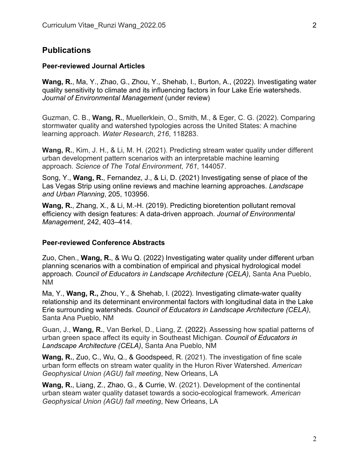## **Publications**

#### **Peer-reviewed Journal Articles**

**Wang, R.**, Ma, Y., Zhao, G., Zhou, Y., Shehab, I., Burton, A., (2022). Investigating water quality sensitivity to climate and its influencing factors in four Lake Erie watersheds. *Journal of Environmental Management* (under review)

Guzman, C. B., **Wang, R.**, Muellerklein, O., Smith, M., & Eger, C. G. (2022). Comparing stormwater quality and watershed typologies across the United States: A machine learning approach. *Water Research*, *216*, 118283.

**Wang, R.**, Kim, J. H., & Li, M. H. (2021). Predicting stream water quality under different urban development pattern scenarios with an interpretable machine learning approach. *Science of The Total Environment*, *761*, 144057.

Song, Y., **Wang, R.**, Fernandez, J., & Li, D. (2021) Investigating sense of place of the Las Vegas Strip using online reviews and machine learning approaches. *Landscape and Urban Planning*, 205, 103956.

**Wang, R.**, Zhang, X., & Li, M.-H. (2019). Predicting bioretention pollutant removal efficiency with design features: A data-driven approach. *Journal of Environmental Management*, 242, 403–414.

#### **Peer-reviewed Conference Abstracts**

Zuo, Chen., **Wang, R.**, & Wu Q. (2022) Investigating water quality under different urban planning scenarios with a combination of empirical and physical hydrological model approach. *Council of Educators in Landscape Architecture (CELA)*, Santa Ana Pueblo, NM

Ma, Y., **Wang, R.,** Zhou, Y., & Shehab, I. (2022). Investigating climate-water quality relationship and its determinant environmental factors with longitudinal data in the Lake Erie surrounding watersheds. *Council of Educators in Landscape Architecture (CELA)*, Santa Ana Pueblo, NM

Guan, J., **Wang, R.**, Van Berkel, D., Liang, Z. (2022). Assessing how spatial patterns of urban green space affect its equity in Southeast Michigan. *Council of Educators in Landscape Architecture (CELA)*, Santa Ana Pueblo, NM

**Wang, R.**, Zuo, C., Wu, Q., & Goodspeed, R. (2021). The investigation of fine scale urban form effects on stream water quality in the Huron River Watershed. *American Geophysical Union (AGU) fall meeting*, New Orleans, LA

**Wang, R.**, Liang, Z., Zhao, G., & Currie, W. (2021). Development of the continental urban steam water quality dataset towards a socio-ecological framework. *American Geophysical Union (AGU) fall meeting*, New Orleans, LA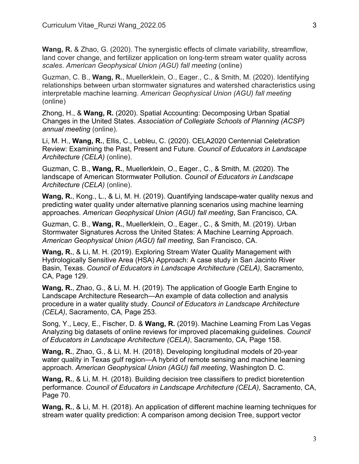**Wang, R.** & Zhao, G. (2020). The synergistic effects of climate variability, streamflow, land cover change, and fertilizer application on long-term stream water quality across *scales*. *American Geophysical Union (AGU) fall meeting* (online)

Guzman, C. B., **Wang, R.**, Muellerklein, O., Eager., C., & Smith, M. (2020). Identifying relationships between urban stormwater signatures and watershed characteristics using interpretable machine learning. *American Geophysical Union (AGU) fall meeting* (online)

Zhong, H., & **Wang, R.** (2020). Spatial Accounting: Decomposing Urban Spatial Changes in the United States. *Association of Collegiate Schools of Planning (ACSP) annual meeting* (online).

Li, M. H., **Wang, R.**, Ellis, C., Lebleu, C. (2020). CELA2020 Centennial Celebration Review: Examining the Past, Present and Future. *Council of Educators in Landscape Architecture (CELA)* (online).

Guzman, C. B., **Wang, R.**, Muellerklein, O., Eager., C., & Smith, M. (2020). The landscape of American Stormwater Pollution. *Council of Educators in Landscape Architecture (CELA)* (online).

**Wang, R.**, Kong., L., & Li, M. H. (2019). Quantifying landscape-water quality nexus and predicting water quality under alternative planning scenarios using machine learning approaches. *American Geophysical Union (AGU) fall meeting*, San Francisco, CA.

Guzman, C. B., **Wang, R.**, Muellerklein, O., Eager., C., & Smith, M. (2019). Urban Stormwater Signatures Across the United States: A Machine Learning Approach. *American Geophysical Union (AGU) fall meeting*, San Francisco, CA.

**Wang, R.**, & Li, M. H. (2019). Exploring Stream Water Quality Management with Hydrologically Sensitive Area (HSA) Approach: A case study in San Jacinto River Basin, Texas. *Council of Educators in Landscape Architecture (CELA)*, Sacramento, CA, Page 129.

**Wang, R.**, Zhao, G., & Li, M. H. (2019). The application of Google Earth Engine to Landscape Architecture Research—An example of data collection and analysis procedure in a water quality study. *Council of Educators in Landscape Architecture (CELA)*, Sacramento, CA, Page 253.

Song, Y., Lecy, E., Fischer, D. & **Wang, R.** (2019). Machine Learning From Las Vegas Analyzing big datasets of online reviews for improved placemaking guidelines. *Council of Educators in Landscape Architecture (CELA)*, Sacramento, CA, Page 158.

**Wang, R.**, Zhao, G., & Li, M. H. (2018). Developing longitudinal models of 20-year water quality in Texas gulf region—A hybrid of remote sensing and machine learning approach. *American Geophysical Union (AGU) fall meeting*, Washington D. C.

**Wang, R.**, & Li, M. H. (2018). Building decision tree classifiers to predict bioretention performance. *Council of Educators in Landscape Architecture (CELA)*, Sacramento, CA, Page 70.

**Wang, R.**, & Li, M. H. (2018). An application of different machine learning techniques for stream water quality prediction: A comparison among decision Tree, support vector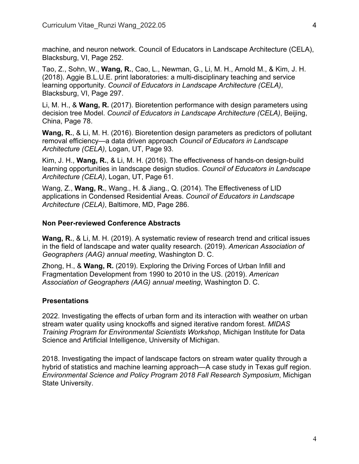machine, and neuron network. Council of Educators in Landscape Architecture (CELA), Blacksburg, VI, Page 252.

Tao, Z., Sohn, W., **Wang, R.**, Cao, L., Newman, G., Li, M. H., Arnold M., & Kim, J. H. (2018). Aggie B.L.U.E. print laboratories: a multi-disciplinary teaching and service learning opportunity. *Council of Educators in Landscape Architecture (CELA)*, Blacksburg, VI, Page 297.

Li, M. H., & **Wang, R.** (2017). Bioretention performance with design parameters using decision tree Model. *Council of Educators in Landscape Architecture (CELA)*, Beijing, China, Page 78.

**Wang, R.**, & Li, M. H. (2016). Bioretention design parameters as predictors of pollutant removal efficiency—a data driven approach *Council of Educators in Landscape Architecture (CELA)*, Logan, UT, Page 93.

Kim, J. H., **Wang, R.**, & Li, M. H. (2016). The effectiveness of hands-on design-build learning opportunities in landscape design studios. *Council of Educators in Landscape Architecture (CELA)*, Logan, UT, Page 61.

Wang, Z., **Wang, R.**, Wang., H. & Jiang., Q. (2014). The Effectiveness of LID applications in Condensed Residential Areas. *Council of Educators in Landscape Architecture (CELA)*, Baltimore, MD, Page 286.

### **Non Peer-reviewed Conference Abstracts**

**Wang, R.**, & Li, M. H. (2019). A systematic review of research trend and critical issues in the field of landscape and water quality research. (2019). *American Association of Geographers (AAG) annual meeting*, Washington D. C.

Zhong, H., & **Wang, R.** (2019). Exploring the Driving Forces of Urban Infill and Fragmentation Development from 1990 to 2010 in the US. (2019). *American Association of Geographers (AAG) annual meeting*, Washington D. C.

### **Presentations**

2022. Investigating the effects of urban form and its interaction with weather on urban stream water quality using knockoffs and signed iterative random forest. *MIDAS Training Program for Environmental Scientists Workshop*, Michigan Institute for Data Science and Artificial Intelligence, University of Michigan.

2018. Investigating the impact of landscape factors on stream water quality through a hybrid of statistics and machine learning approach—A case study in Texas gulf region. *Environmental Science and Policy Program 2018 Fall Research Symposium*, Michigan State University.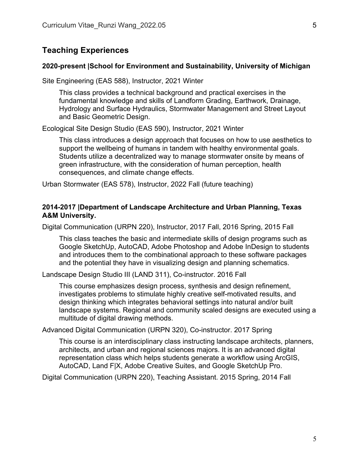## **Teaching Experiences**

### **2020-present |School for Environment and Sustainability, University of Michigan**

Site Engineering (EAS 588), Instructor, 2021 Winter

This class provides a technical background and practical exercises in the fundamental knowledge and skills of Landform Grading, Earthwork, Drainage, Hydrology and Surface Hydraulics, Stormwater Management and Street Layout and Basic Geometric Design.

Ecological Site Design Studio (EAS 590), Instructor, 2021 Winter

This class introduces a design approach that focuses on how to use aesthetics to support the wellbeing of humans in tandem with healthy environmental goals. Students utilize a decentralized way to manage stormwater onsite by means of green infrastructure, with the consideration of human perception, health consequences, and climate change effects.

Urban Stormwater (EAS 578), Instructor, 2022 Fall (future teaching)

### **2014-2017 |Department of Landscape Architecture and Urban Planning, Texas A&M University.**

Digital Communication (URPN 220), Instructor, 2017 Fall, 2016 Spring, 2015 Fall

This class teaches the basic and intermediate skills of design programs such as Google SketchUp, AutoCAD, Adobe Photoshop and Adobe InDesign to students and introduces them to the combinational approach to these software packages and the potential they have in visualizing design and planning schematics.

Landscape Design Studio III (LAND 311), Co-instructor. 2016 Fall

This course emphasizes design process, synthesis and design refinement, investigates problems to stimulate highly creative self-motivated results, and design thinking which integrates behavioral settings into natural and/or built landscape systems. Regional and community scaled designs are executed using a multitude of digital drawing methods.

Advanced Digital Communication (URPN 320), Co-instructor. 2017 Spring

This course is an interdisciplinary class instructing landscape architects, planners, architects, and urban and regional sciences majors. It is an advanced digital representation class which helps students generate a workflow using ArcGIS, AutoCAD, Land F|X, Adobe Creative Suites, and Google SketchUp Pro.

Digital Communication (URPN 220), Teaching Assistant. 2015 Spring, 2014 Fall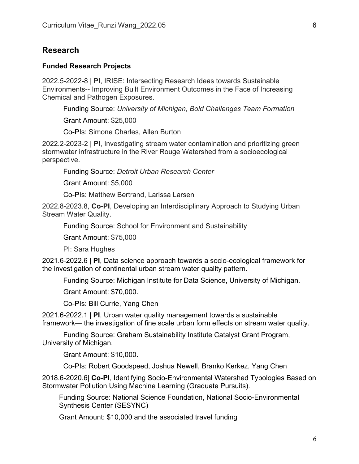## **Research**

### **Funded Research Projects**

2022.5-2022-8 | **PI**, IRISE: Intersecting Research Ideas towards Sustainable Environments-- Improving Built Environment Outcomes in the Face of Increasing Chemical and Pathogen Exposures.

Funding Source: *University of Michigan, Bold Challenges Team Formation*

Grant Amount: \$25,000

Co-PIs: Simone Charles, Allen Burton

2022.2-2023-2 | **PI**, Investigating stream water contamination and prioritizing green stormwater infrastructure in the River Rouge Watershed from a socioecological perspective.

Funding Source: *Detroit Urban Research Center*

Grant Amount: \$5,000

Co-PIs: Matthew Bertrand, Larissa Larsen

2022.8-2023.8, **Co-PI**, Developing an Interdisciplinary Approach to Studying Urban Stream Water Quality.

Funding Source: School for Environment and Sustainability

Grant Amount: \$75,000

PI: Sara Hughes

2021.6-2022.6 | **PI**, Data science approach towards a socio-ecological framework for the investigation of continental urban stream water quality pattern.

Funding Source: Michigan Institute for Data Science, University of Michigan.

Grant Amount: \$70,000.

Co-PIs: Bill Currie, Yang Chen

2021.6-2022.1 | **PI**, Urban water quality management towards a sustainable framework— the investigation of fine scale urban form effects on stream water quality.

Funding Source: Graham Sustainability Institute Catalyst Grant Program, University of Michigan.

Grant Amount: \$10,000.

Co-PIs: Robert Goodspeed, Joshua Newell, Branko Kerkez, Yang Chen

2018.6-2020.6| **Co-PI**, Identifying Socio-Environmental Watershed Typologies Based on Stormwater Pollution Using Machine Learning (Graduate Pursuits).

Funding Source: National Science Foundation, National Socio-Environmental Synthesis Center (SESYNC)

Grant Amount: \$10,000 and the associated travel funding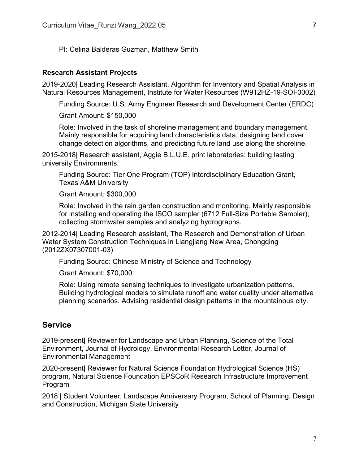PI: Celina Balderas Guzman, Matthew Smith

#### **Research Assistant Projects**

2019-2020| Leading Research Assistant, Algorithm for Inventory and Spatial Analysis in Natural Resources Management, Institute for Water Resources (W912HZ-19-SOI-0002)

Funding Source: U.S. Army Engineer Research and Development Center (ERDC)

Grant Amount: \$150,000

Role: Involved in the task of shoreline management and boundary management. Mainly responsible for acquiring land characteristics data, designing land cover change detection algorithms, and predicting future land use along the shoreline.

2015-2018| Research assistant, Aggie B.L.U.E. print laboratories: building lasting university Environments.

Funding Source: Tier One Program (TOP) Interdisciplinary Education Grant, Texas A&M University

Grant Amount: \$300,000

Role: Involved in the rain garden construction and monitoring. Mainly responsible for installing and operating the ISCO sampler (6712 Full-Size Portable Sampler), collecting stormwater samples and analyzing hydrographs.

2012-2014| Leading Research assistant, The Research and Demonstration of Urban Water System Construction Techniques in Liangjiang New Area, Chongqing (2012ZX07307001-03)

Funding Source: Chinese Ministry of Science and Technology

Grant Amount: \$70,000

Role: Using remote sensing techniques to investigate urbanization patterns. Building hydrological models to simulate runoff and water quality under alternative planning scenarios. Advising residential design patterns in the mountainous city.

## **Service**

2019-present| Reviewer for Landscape and Urban Planning, Science of the Total Environment, Journal of Hydrology, Environmental Research Letter, Journal of Environmental Management

2020-present| Reviewer for Natural Science Foundation Hydrological Science (HS) program, Natural Science Foundation EPSCoR Research Infrastructure Improvement Program

2018 | Student Volunteer, Landscape Anniversary Program, School of Planning, Design and Construction, Michigan State University